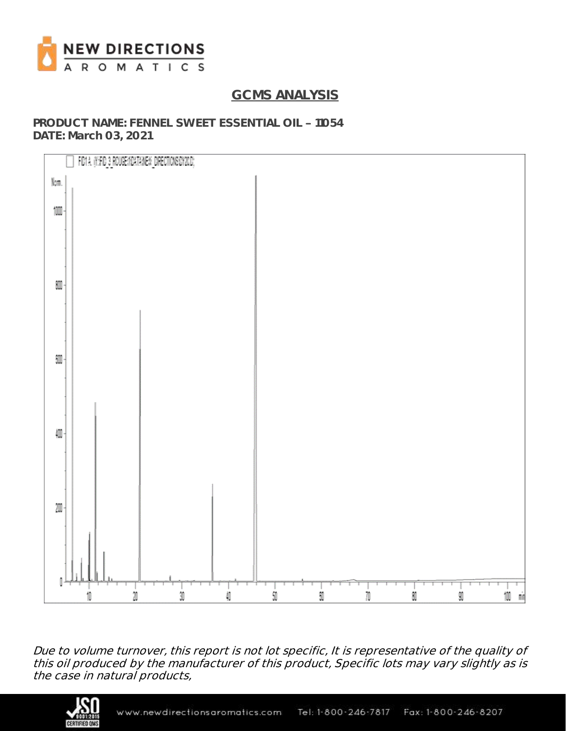

# **GCMS ANALYSIS**

**PRODUCT NAME: FENNEL SWEET ESSENTIAL OIL - 11054 DATE: March 03, 2021**



Due to volume turnover, this report is not lot specific, It is representative of the quality of this oil produced by the manufacturer of this product, Specific lots may vary slightly as is the case in natural products,

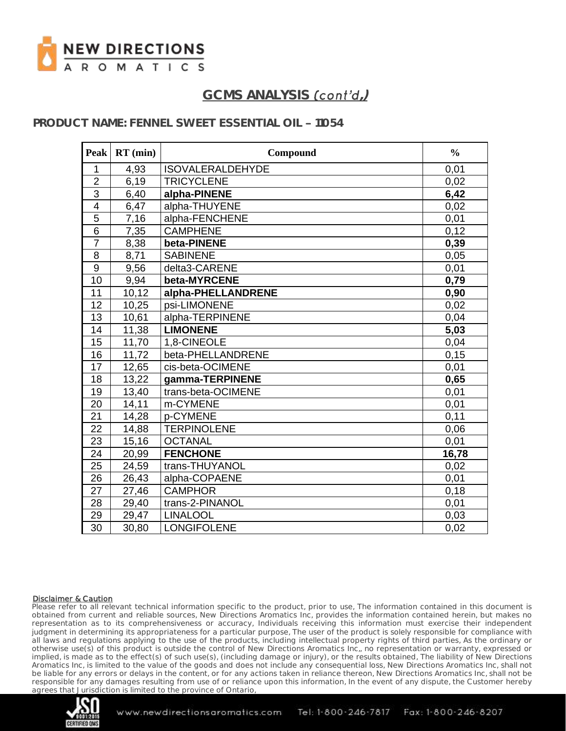

# **GCMS ANALYSIS ,)**

### **PRODUCT NAME: FENNEL SWEET ESSENTIAL OIL - 11054**

| <b>Peak</b>      | $RT$ (min) | Compound                | $\frac{0}{0}$ |
|------------------|------------|-------------------------|---------------|
| $\mathbf{1}$     | 4,93       | <b>ISOVALERALDEHYDE</b> | 0,01          |
| $\overline{2}$   | 6,19       | <b>TRICYCLENE</b>       | 0,02          |
| $\overline{3}$   | 6,40       | alpha-PINENE            | 6,42          |
| 4                | 6,47       | alpha-THUYENE           | 0,02          |
| $\overline{5}$   | 7,16       | alpha-FENCHENE          | 0,01          |
| $\overline{6}$   | 7,35       | <b>CAMPHENE</b>         | 0,12          |
| $\overline{7}$   | 8,38       | beta-PINENE             | 0,39          |
| 8                | 8,71       | <b>SABINENE</b>         | 0,05          |
| $\boldsymbol{9}$ | 9,56       | delta3-CARENE           | 0,01          |
| 10               | 9,94       | beta-MYRCENE            | 0,79          |
| 11               | 10,12      | alpha-PHELLANDRENE      | 0,90          |
| 12               | 10,25      | psi-LIMONENE            | 0,02          |
| 13               | 10,61      | alpha-TERPINENE         | 0,04          |
| 14               | 11,38      | <b>LIMONENE</b>         | 5,03          |
| 15               | 11,70      | 1,8-CINEOLE             | 0,04          |
| 16               | 11,72      | beta-PHELLANDRENE       | 0,15          |
| 17               | 12,65      | cis-beta-OCIMENE        | 0,01          |
| 18               | 13,22      | gamma-TERPINENE         | 0,65          |
| 19               | 13,40      | trans-beta-OCIMENE      | 0,01          |
| 20               | 14,11      | m-CYMENE                | 0,01          |
| 21               | 14,28      | p-CYMENE                | 0,11          |
| 22               | 14,88      | <b>TERPINOLENE</b>      | 0,06          |
| $\overline{23}$  | 15,16      | <b>OCTANAL</b>          | 0,01          |
| 24               | 20,99      | <b>FENCHONE</b>         | 16,78         |
| 25               | 24,59      | trans-THUYANOL          | 0,02          |
| 26               | 26,43      | alpha-COPAENE           | 0,01          |
| 27               | 27,46      | <b>CAMPHOR</b>          | 0,18          |
| 28               | 29,40      | trans-2-PINANOL         | 0,01          |
| 29               | 29,47      | <b>LINALOOL</b>         | 0,03          |
| 30               | 30,80      | <b>LONGIFOLENE</b>      | 0,02          |

### Disclaimer & Caution

Please refer to all relevant technical information specific to the product, prior to use, The information contained in this document is obtained from current and reliable sources, New Directions Aromatics Inc, provides the information contained herein, but makes no representation as to its comprehensiveness or accuracy, Individuals receiving this information must exercise their independent judgment in determining its appropriateness for a particular purpose, The user of the product is solely responsible for compliance with all laws and regulations applying to the use of the products, including intellectual property rights of third parties, As the ordinary or otherwise use(s) of this product is outside the control of New Directions Aromatics Inc,, no representation or warranty, expressed or implied, is made as to the effect(s) of such use(s), (including damage or injury), or the results obtained, The liability of New Directions Aromatics Inc, is limited to the value of the goods and does not include any consequential loss, New Directions Aromatics Inc, shall not be liable for any errors or delays in the content, or for any actions taken in reliance thereon, New Directions Aromatics Inc, shall not be responsible for any damages resulting from use of or reliance upon this information, In the event of any dispute, the Customer hereby agrees that Jurisdiction is limited to the province of Ontario,